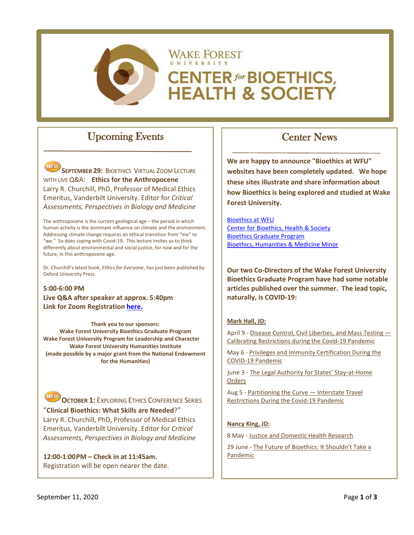

## Upcoming Events

NEW **SEPTEMBER 29: BIOETHICS VIRTUAL ZOOM LECTURE** WITH LIVE Q&A: **Ethics for the Anthropocene** Larry R. Churchill, PhD, Professor of Medical Ethics Emeritus, Vanderbilt University. Editor for *Critical Assessments, Perspectives in Biology and Medicine*

The anthropocene is the current geological age – the period in which human activity is the dominant influence on climate and the environment. Addressing climate change requires an ethical transition from "me" to "we." So does coping with Covid-19. This lecture invites us to think differently about environmental and social justice, for now and for the future, in this anthropocene age.

Dr. Churchill's latest book, *Ethics for Everyone*, has just been published by Oxford University Press.

**5:00-6:00 PM Live Q&A after speaker at approx. 5:40pm Link for Zoom Registration [here.](https://wakeforest-university.zoom.us/webinar/register/WN_PmoIdMZLQFew7HNWE7HOQw)**

**Thank you to our sponsors: Wake Forest University Bioethics Graduate Program Wake Forest University Program for Leadership and Character Wake Forest University Humanities Institute (made possible by a major grant from the National Endowment for the Humanities)**

**NEW OCTOBER 1: EXPLORING ETHICS CONFERENCE SERIES** "**Clinical Bioethics: What Skills are Needed**?" Larry R. Churchill, PhD, Professor of Medical Ethics Emeritus, Vanderbilt University. Editor for *Critical Assessments, Perspectives in Biology and Medicine*

**12:00-1:00PM – Check in at 11:45am.** Registration will be open nearer the date.

# Center News

**We are happy to announce "Bioethics at WFU" websites have been completely updated. We hope these sites illustrate and share information about how Bioethics is being explored and studied at Wake Forest University.**

[Bioethics at WFU](https://bioethics.wfu.edu/) [Center for Bioethics, Health & Society](https://cbhs.wfu.edu/) [Bioethics Graduate Program](https://graduatebioethics.wfu.edu/) [Bioethics, Humanities & Medicine Minor](http://bhm.wfu.edu/)

**Our two Co-Directors of the Wake Forest University Bioethics Graduate Program have had some notable articles published over the summer. The lead topic, naturally, is COVID-19:**

#### **Mark Hall, JD:**

April 9 - [Disease Control, Civil Liberties, and Mass Testing —](https://www.nejm.org/doi/full/10.1056/NEJMp2007637%20%5bnejm.org%5d) [Calibrating Restrictions during the Covid-19 Pandemic](https://www.nejm.org/doi/full/10.1056/NEJMp2007637%20%5bnejm.org%5d)

May 6 - [Privileges and Immunity Certification During the](https://jamanetwork.com/journals/jama/article-abstract/2765835%20%5bjamanetwork.com%5d)  [COVID-19 Pandemic](https://jamanetwork.com/journals/jama/article-abstract/2765835%20%5bjamanetwork.com%5d)

June 3 - [The Legal Authority for States' Stay-at-Home](https://www.nejm.org/doi/full/10.1056/NEJMp2019662%20%5bnejm.org%5d)  [Orders](https://www.nejm.org/doi/full/10.1056/NEJMp2019662%20%5bnejm.org%5d)

Aug 5 - Partitioning the Curve - Interstate Travel [Restrictions During the Covid-19 Pandemic](https://www.nejm.org/DOI/FULL/10.1056/NEJMP2024274)

#### **Nancy King, JD:**

8 May - [Justice and Domestic Health Research](https://onlinelibrary.wiley.com/doi/full/10.1002/eahr.500052)

29 June - [The Future of Bioethics: It Shouldn't Take a](https://onlinelibrary.wiley.com/doi/full/10.1002/hast.1133)  [Pandemic](https://onlinelibrary.wiley.com/doi/full/10.1002/hast.1133)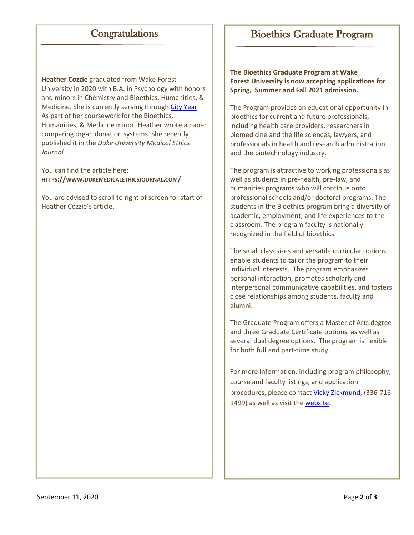## **Congratulations**

**Heather Cozzie** graduated from Wake Forest University in 2020 with B.A. in Psychology with honors and minors in Chemistry and Bioethics, Humanities, & Medicine. She is currently serving through [City Year.](https://www.cityyear.org/) As part of her coursework for the Bioethics, Humanities, & Medicine minor, Heather wrote a paper comparing organ donation systems. She recently published it in the *Duke University Medical Ethics Journal.*

You can find the article here: **[HTTPS://WWW.DUKEMEDICALETHICSJOURNAL.COM/](https://www.dukemedicalethicsjournal.com/)**

You are advised to scroll to right of screen for start of Heather Cozzie's article**.**

### Bioethics Graduate Program

**The Bioethics Graduate Program at Wake Forest University is now accepting applications for Spring, Summer and Fall 2021 admission.**

The Program provides an educational opportunity in bioethics for current and future professionals, including health care providers, researchers in biomedicine and the life sciences, lawyers, and professionals in health and research administration and the biotechnology industry.

The program is attractive to working professionals as well as students in pre-health, pre-law, and humanities programs who will continue onto professional schools and/or doctoral programs. The students in the Bioethics program bring a diversity of academic, employment, and life experiences to the classroom. The program faculty is nationally recognized in the field of bioethics.

The small class sizes and versatile curricular options enable students to tailor the program to their individual interests. The program emphasizes personal interaction, promotes scholarly and interpersonal communicative capabilities, and fosters close relationships among students, faculty and alumni.

The Graduate Program offers a Master of Arts degree and three Graduate Certificate options, as well as several dual degree options. The program is flexible for both full and part-time study.

For more information, including program philosophy, course and faculty listings, and application procedures, please contac[t Vicky Zickmund,](mailto:zickmuvl@wfu.edu) (336-716- 1499) as well as visit th[e website.](https://graduatebioethics.wfu.edu/)